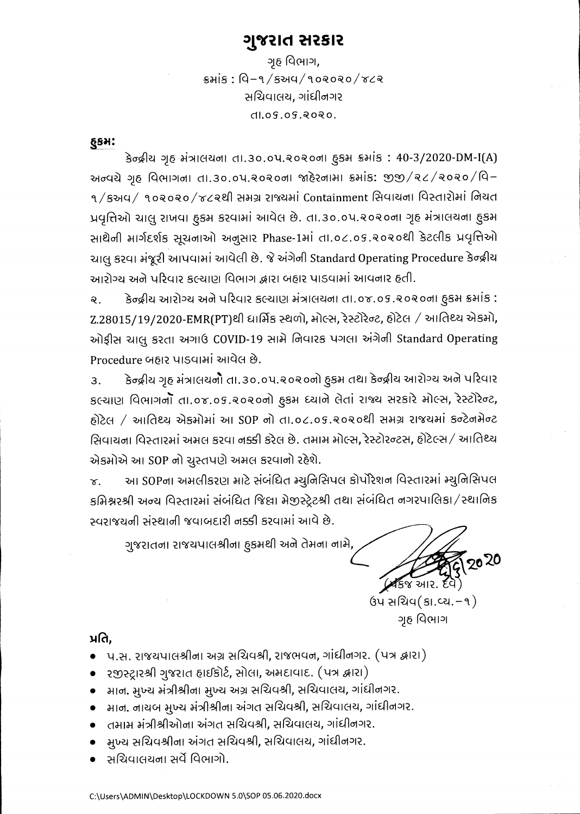# ગુજરાત સરકાર

ગૃહ વિભાગ,  $s$ भां $s$  : વિ-१/९અप/१०२०२०/४८२ સચિવાલય. ગાંધીનગર  $dLoS.05.8080.$ 

 $§$ səl:

કેન્દ્રીય ગૃહ મંત્રાલયના તા.30.0પ.૨૦૨૦ના હુકમ ક્રમાંક: 40-3/2020-DM-I(A) અન્વચે ગૃહ વિભાગના તા.૩૦.૦૫.૨૦૨૦ના જાહેરનામા ક્રમાંક: જીજી/૨૮/૨૦૨૦/વિ– ૧/કઅવ/ ૧૦૨૦૨૦/૪૮૨થી સમગ્ર રાજ્યમાં Containment સિવાયના વિસ્તારોમાં નિયત પ્રવૃત્તિઓ ચાલુ રાખવા ફુકમ કરવામાં આવેલ છે. તા.૩૦.૦૫.૨૦૨૦ના ગૃહ મંત્રાલયના ફુકમ સાથેની માર્ગદર્શક સૂચનાઓ અનુસાર Phase-1માં તા.o૮.os.૨૦૨૦થી કેટલીક પ્રવૃત્તિઓ ચાલુ કરવા મંજૂરી આપવામાં આવેલી છે. જે અંગેની Standard Operating Procedure કેન્દ્રીય આરોગ્ય અને પરિવાર કલ્યાણ વિભાગ દ્વારા બહાર પાડવામાં આવનાર હતી.

કેન્દ્રીય આરોગ્ય અને પરિવાર કલ્યાણ મંત્રાલયના તા.૦૪.૦૬.૨૦૨૦ના હૃકમ ક્રમાંક :  $Q_{\perp}$  $Z.28015/19/2020$ -EMR(PT)થી ધાર્મિક સ્થળો, મોલ્સ, રેસ્ટોરેન્ટ, હોટેલ / આતિથ્ય એકમો, ઓફીસ ચાલુ કરતા અગાઉ COVID-19 સામે નિવારક પગલા અંગેની Standard Operating Procedure બહાર પાડવામાં આવેલ છે.

કેન્દ્રીય ગૃહ મંત્રાલયનો તા.૩૦.૦૫.૨૦૨૦નો હુકમ તથા કેન્દ્રીય આરોગ્ય અને પરિવાર  $\overline{3}$ . કલ્યાણ વિભાગનો તા.૦૪.૦૬.૨૦૨૦નો હુકમ ધ્યાને લેતાં રાજ્ય સરકારે મોલ્સ, રેસ્ટોરેન્ટ, હોટેલ / આતિથ્યુ એકમોમાં આ SOP નો તા.૦૮.૦૬.૨૦૨૦થી સમગ્ર રાજયમાં કન્ટેનમેન્ટ સિવાયના વિસ્તારમાં અમલ કરવા નક્કી કરેલ છે. તમામ મોલ્સ, રેસ્ટોરન્ટસ, હોટેલ્સ / આતિથ્ય એકમોએ આ SOP નો ચુસ્તપણે અમલ કરવાનો રહેશે.

આ SOPના અમલીકરણ માટે સંબંધિત મ્યુનિસિપલ કોર્પોરેશન વિસ્તારમાં મ્યુનિસિપલ  $\chi$ . કમિશ્નરશ્રી અન્ય વિસ્તારમાં સંબંધિત જિલ્લા મેજીસ્ટ્રેટશ્રી તથા સંબંધિત નગરપાલિકા /સ્થાનિક સ્વરાજયની સંસ્થાની જવાબદારી નક્કી કરવામાં આવે છે.

ગુજરાતના રાજયપાલશ્રીના હૂકમથી અને તેમના નામે,

2020  $\sqrt{8}$ જ આર

ઉપ સચિવ $(s<sub>1</sub>, c<sub>2</sub>, -<sub>9</sub>)$ ગૃહ વિભાગ

પ્રતિ.

- ે પ.સ. રાજયપાલશ્રીના અગ્ર સચિવશ્રી, રાજભવન, ગાંધીનગર. (પત્ર દ્વારા)
- ્રરજીસ્ટ્રારશ્રી ગુજરાત હાઈકોર્ટ, સોલા, અમદાવાદ. (પત્ર દ્વારા)
- માન. મુખ્ય મંત્રીશ્રીના મુખ્ય અગ્ર સચિવશ્રી, સચિવાલય, ગાંધીનગર.
- – માન. નાયબ મુખ્ય મંત્રીશ્રીના અંગત સચિવશ્રી, સચિવાલય, ગાંધીનગર.
- તમામ મંત્રીશ્રીઓના અંગત સચિવશ્રી, સચિવાલય, ગાંધીનગર.
- મુખ્ય સચિવશ્રીના અંગત સચિવશ્રી, સચિવાલય, ગાંધીનગર.
- સચિવાલયના સર્વે વિભાગો.

C:\Users\ADMIN\Desktop\LOCKDOWN 5.0\SOP 05.06.2020.docx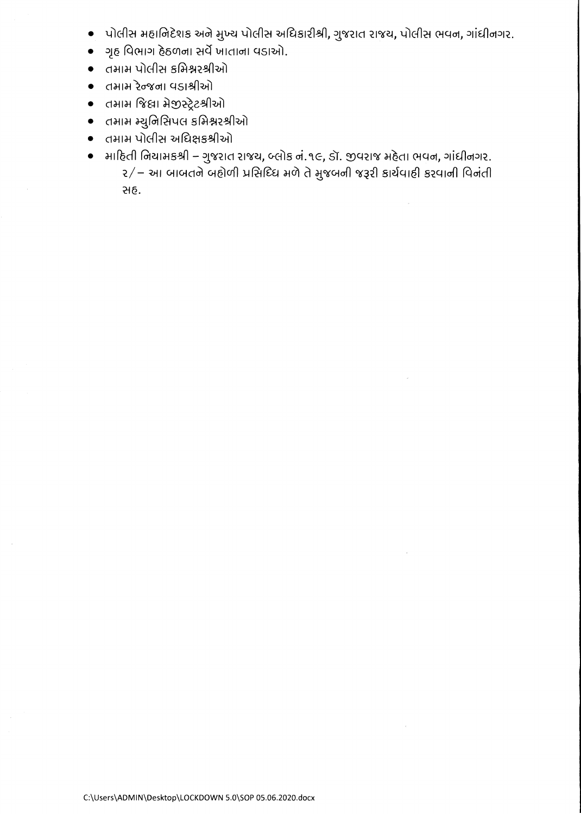- પોલીસ મહાનિદેશક અને મુખ્ય પોલીસ અધિકારીશ્રી, ગુજરાત રાજય, પોલીસ ભવન, ગાંધીનગર.  $\bullet$
- ગૃહ વિભાગ હેઠળના સર્વે ખાતાના વડાઓ.  $\bullet$
- તમામ પોલીસ કમિશ્નરશ્રીઓ  $\bullet$
- તમામ રેન્જના વડાશ્રીઓ  $\bullet$
- તમામ જિલા મેજીસ્ટ્રેટશ્રીઓ  $\bullet$
- તમામ મ્યુનિસિપલ કમિશ્નરશ્રીઓ  $\bullet$
- तमाम पोलीस અधिक्षङश्रीઓ
- માદિતી નિયામકશ્રી ગુજરાત રાજય, બ્લોક નં.૧૯, ડૉ. જીવરાજ મહેતા ભવન, ગાંધીનગર.  $\bullet$ ર/– આ બાબતને બહોળી પ્રસિધ્ધિ મળે તે મુજબની જરૂરી કાર્યવાહી કરવાની વિનંતી સહ.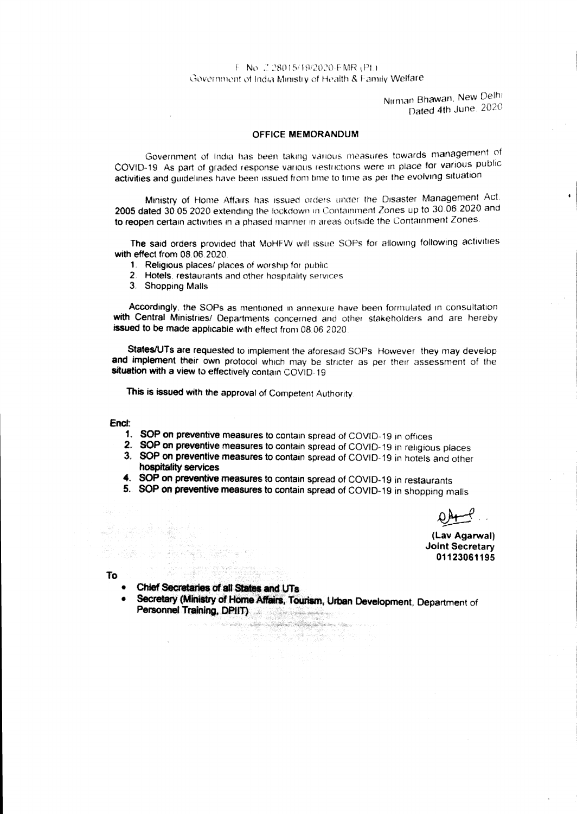# F. No. 2.28015/19/2020-FMR (Pt.). Government of India Ministry of Health & Family Welfare.

Nirman Bhawan, New Delhi Dated 4th June, 2020

## OFFICE MEMORANDUM

Government of India has been taking various measures towards management of COVID-19 As part of graded response various restrictions were in place **for** various public activities and guidelines have been issued from time to time as per the evolving situation.

Ministry of Home Affairs has issued orders under the Disaster Management Act, 2005 dated 30,05 2020 extending the lockdown in Containment Zones up to 30,06.2020 and **to reopen** certain activities in a phased manner in areas outside the Containment Zones,

The said orders provided that MoHFW will issue SOPs for allowing following activities with effect from 08,06.2020.

- 1, Religious places/ places of worship for public
- 2. Hotels, restaurants and other hospitality services
- 3. Shopping Malls

Accordingly, the SOPs as mentioned in annexure nave been formulated in consultation with Central Ministries/ Departments concerned and other stakeholders and are hereby **issued to be** made applicable with effect from 08.06 2020.

States/UTs are requested to implement the aforesaid SOPs. However, they may develop **and implement their** own protocol which may be stricter as per their assessment of the **situation with a view to effectively contain COVID-** 19

This is issued with the approval of Competent Authority.

#### **End:**

- **1. SOP on preventive measures to contain spread of COVID-19 in offices**
- **2. SOP on preventive measures to contain spread of COVID-19** in religious places
- **3.. SOP on preventive measures to contain spread of COVID- 19** in hotels and other **hospitality services**
- **4. SOP on preventive measures to contain spread of COVID-19 in restaurants**
- **5. SOP on preventive measures to contain spread of COVID-19 in shopping malls**

**(Lay Agarwal) Joint Secretary 01123061195** 

**To** 

- **Chief Secretaries of all States and UTs**
- **Secretary (Ministry of Home Affairs, Tourism, Urban Development, Department of Personnel Training, DPIIT)**

1 - 1000년 - 대통령 정학부 정학부 수학 대학 정치 (1989년 - 1989년 - 대학<br>1991년 - 대학 대학 대학 대학 대학 대학 대학 대학 대학 대학 대학 대학<br>1991년 - 1991 - 대학 대학 대학 대학 대학 대학 대학 대학 대학 대학 대학

a sa sa sa sala matanggunan na mga mga mga mga malalang ng mga malalang ng mga malalang ng mga mga mga mga mga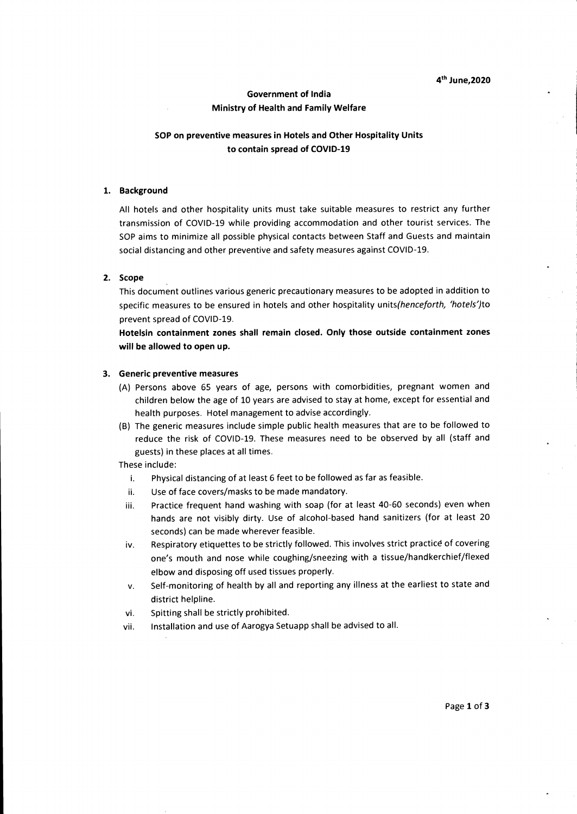# **4thJune,2020**

# **Government of India Ministry of Health and Family Welfare**

# **SOP on preventive measures in Hotels and Other Hospitality Units to contain spread of COVID-19**

# **1. Background**

All hotels and other hospitality units must take suitable measures to restrict any further transmission of COVID-19 while providing accommodation and other tourist services. The SOP aims to minimize all possible physical contacts between Staff and Guests and maintain social distancing and other preventive and safety measures against COVID-19.

# **2. Scope**

This document outlines various generic precautionary measures to be adopted in addition to specific measures to be ensured in hotels and other hospitality units(henceforth, 'hotels')to prevent spread of COVID-19.

**Hotelsin containment zones shall remain closed. Only those outside containment zones will be allowed to open up.** 

## **3. Generic preventive measures**

- (A) Persons above 65 years of age, persons with comorbidities, pregnant women and children below the age of 10 years are advised to stay at home, except for essential and health purposes. Hotel management to advise accordingly.
- (B) The generic measures include simple public health measures that are to be followed to reduce the risk of COVID-19. These measures need to be observed by all (staff and guests) in these places at all times.

These include:

- i. Physical distancing of at least 6 feet to be followed as far as feasible.
- ii. Use of face covers/masks to be made mandatory.
- iii. Practice frequent hand washing with soap (for at least 40-60 seconds) even when hands are not visibly dirty. Use of alcohol-based hand sanitizers (for at least 20 seconds) can be made wherever feasible.
- iv. Respiratory etiquettes to be strictly followed. This involves strict practice of covering one's mouth and nose while coughing/sneezing with a tissue/handkerchief/flexed elbow and disposing off used tissues properly.
- v. Self-monitoring of health by all and reporting any illness at the earliest to state and district helpline.
- vi. Spitting shall be strictly prohibited.
- vii. Installation and use of Aarogya Setuapp shall be advised to all.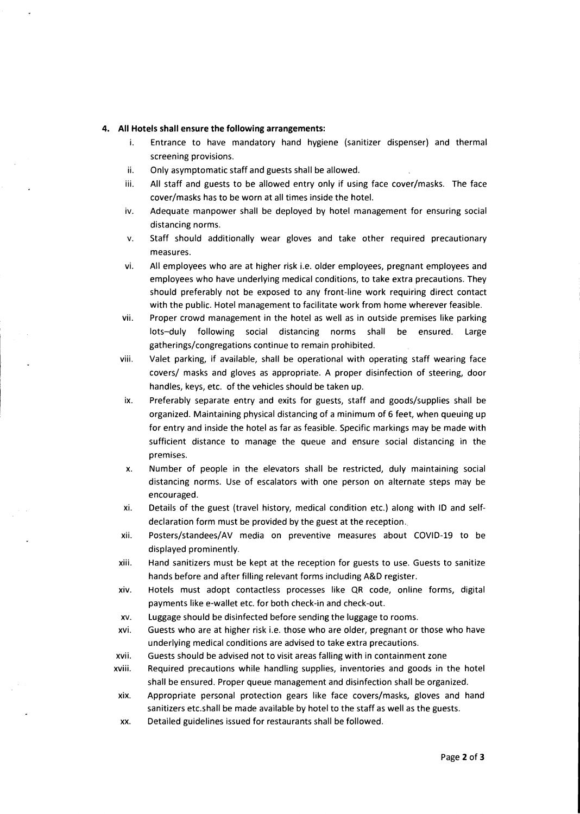## **4. All Hotels shall ensure the following arrangements:**

- i. Entrance to have mandatory hand hygiene (sanitizer dispenser) and thermal screening provisions.
- ii. Only asymptomatic staff and guests shall be allowed.
- iii. All staff and guests to be allowed entry only if using face cover/masks. The face cover/masks has to be worn at all times inside the hotel.
- iv. Adequate manpower shall be deployed by hotel management for ensuring social distancing norms.
- v. Staff should additionally wear gloves and take other required precautionary measures.
- vi. All employees who are at higher risk i.e. older employees, pregnant employees and employees who have underlying medical conditions, to take extra precautions. They should preferably not be exposed to any front-line work requiring direct contact with the public. Hotel management to facilitate work from home wherever feasible.
- vii. Proper crowd management in the hotel as well as in outside premises like parking lots—duly following social distancing norms shall be ensured. Large gatherings/congregations continue to remain prohibited.
- viii. Valet parking, if available, shall be operational with operating staff wearing face covers/ masks and gloves as appropriate. A proper disinfection of steering, door handles, keys, etc. of the vehicles should be taken up.
- ix. Preferably separate entry and exits for guests, staff and goods/supplies shall be organized. Maintaining physical distancing of a minimum of 6 feet, when queuing up for entry and inside the hotel as far as feasible. Specific markings may be made with sufficient distance to manage the queue and ensure social distancing in the premises.
- x. Number of people in the elevators shall be restricted, duly maintaining social distancing norms. Use of escalators with one person on alternate steps may be encouraged.
- xi. Details of the guest (travel history, medical condition etc.) along with ID and selfdeclaration form must be provided by the guest at the reception..
- xii. Posters/standees/AV media on preventive measures about COVID-19 to be displayed prominently.
- xiii. Hand sanitizers must be kept at the reception for guests to use. Guests to sanitize hands before and after filling relevant forms including A&D register.
- xiv. Hotels must adopt contactless processes like QR code, online forms, digital payments like e-wallet etc. for both check-in and check-out.
- xv. Luggage should be disinfected before sending the luggage to rooms.
- xvi. Guests who are at higher risk i.e. those who are older, pregnant or those who have underlying medical conditions are advised to take extra precautions.
- xvii. Guests should be advised not to visit areas falling with in containment zone
- xviii. Required precautions while handling supplies, inventories and goods in the hotel shall be ensured. Proper queue management and disinfection shall be organized.
- xix. Appropriate personal protection gears like face covers/masks, gloves and hand sanitizers etc.shall be made available by hotel to the staff as well as the guests.
- xx. Detailed guidelines issued for restaurants shall be followed.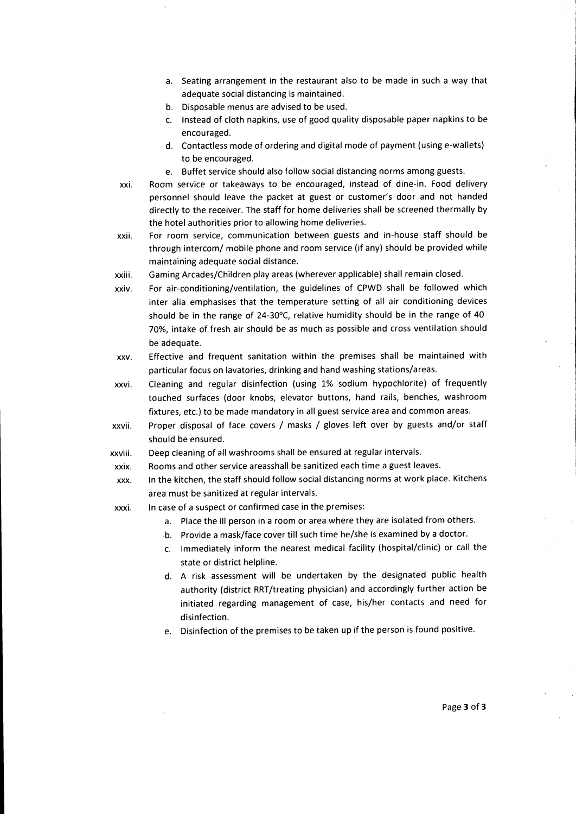- **a. Seating arrangement in the restaurant also to be made in such a way that adequate social distancing is maintained.**
- **b. Disposable menus are advised to be used.**
- **c. Instead of cloth napkins, use of good quality disposable paper napkins to be encouraged.**
- **d. Contactless mode of ordering and digital mode of payment (using e-wallets) to be encouraged.**
- **e. Buffet service should also follow social distancing norms among guests.**
- **xxi. Room service or takeaways to be encouraged, instead of dine-in. Food delivery personnel should leave the packet at guest or customer's door and not handed directly to the receiver. The staff for home deliveries shall be screened thermally by the hotel authorities prior to allowing home deliveries.**
- **xxii. For room service, communication between guests and in-house staff should be through intercom/ mobile phone and room service (if any) should be provided while maintaining adequate social distance.**
- **xxiii. Gaming Arcades/Children play areas (wherever applicable) shall remain closed.**
- **xxiv. For air-conditioning/ventilation, the guidelines of CPWD shall be followed which inter alia emphasises that the temperature setting of all air conditioning devices should be in the range of 24-30°C, relative humidity should be in the range of 40- 70%, intake of fresh air should be as much as possible and cross ventilation should be adequate.**
- **xxv. Effective and frequent sanitation within the premises shall be maintained with particular focus on lavatories, drinking and hand washing stations/areas.**
- **xxvi. Cleaning and regular disinfection (using 1% sodium hypochlorite) of frequently touched surfaces (door knobs, elevator buttons, hand rails, benches, washroom fixtures, etc.) to be made mandatory in all guest service area and common areas.**
- **xxvii. Proper disposal of face covers / masks / gloves left over by guests and/or staff should be ensured.**
- **xxviii. Deep cleaning of all washrooms shall be ensured at regular intervals.**
- **xxix. Rooms and other service areasshall be sanitized each time a guest leaves.**
- **xxx. In the kitchen, the staff should follow social distancing norms at work place. Kitchens area must be sanitized at regular intervals.**
- **xxxi. In case of a suspect or confirmed case in the premises:** 
	- **a. Place the ill person in a room or area where they are isolated from others.**
	- **b. Provide a mask/face cover till such time he/she is examined by a doctor.**
	- **c. Immediately inform the nearest medical facility (hospital/clinic) or call the state or district helpline.**
	- **d. A risk assessment will be undertaken by the designated public health authority (district RRT/treating physician) and accordingly further action be initiated regarding management of case, his/her contacts and need for disinfection.**
	- **e. Disinfection of the premises to be taken up if the person is found positive.**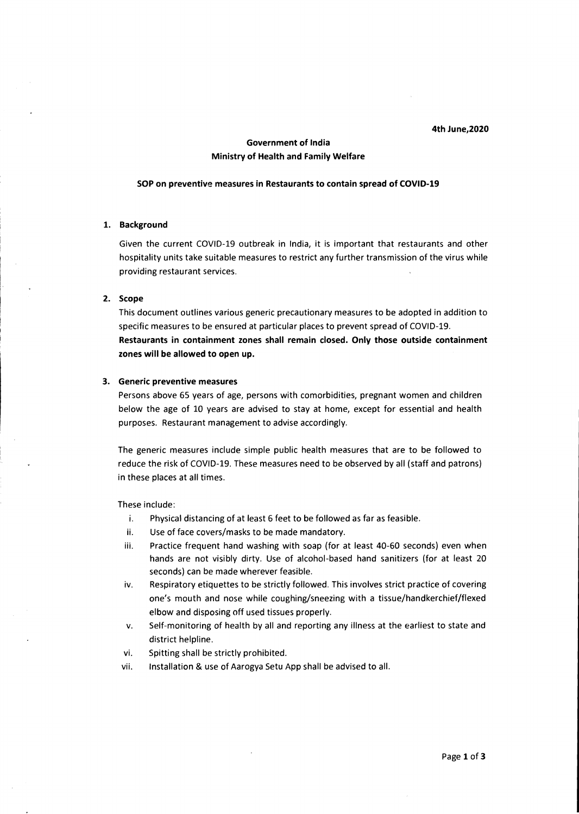#### **4th June,2020**

# **Government of India Ministry of Health and Family Welfare**

#### **SOP on preventive measures in Restaurants to contain spread of COVID-19**

# **1. Background**

Given the current COVID-19 outbreak in India, it is important that restaurants and other hospitality units take suitable measures to restrict any further transmission of the virus while providing restaurant services.

### **2. Scope**

This document outlines various generic precautionary measures to be adopted in addition to specific measures to be ensured at particular places to prevent spread of COVID-19. **Restaurants in containment zones shall remain closed. Only those outside containment zones will be allowed to open up.** 

#### **3. Generic preventive measures**

Persons above 65 years of age, persons with comorbidities, pregnant women and children below the age of 10 years are advised to stay at home, except for essential and health purposes. Restaurant management to advise accordingly.

The generic measures include simple public health measures that are to be followed to reduce the risk of COVID-19. These measures need to be observed by all (staff and patrons) in these places at all times.

These include:

- i. Physical distancing of at least 6 feet to be followed as far as feasible.
- ii. Use of face covers/masks to be made mandatory.
- iii. Practice frequent hand washing with soap (for at least 40-60 seconds) even when hands are not visibly dirty. Use of alcohol-based hand sanitizers (for at least 20 seconds) can be made wherever feasible.
- iv. Respiratory etiquettes to be strictly followed. This involves strict practice of covering one's mouth and nose while coughing/sneezing with a tissue/handkerchief/flexed elbow and disposing off used tissues properly.
- v. Self-monitoring of health by all and reporting any illness at the earliest to state and district helpline.
- vi. Spitting shall be strictly prohibited.
- vii. Installation & use of Aarogya Setu App shall be advised to all.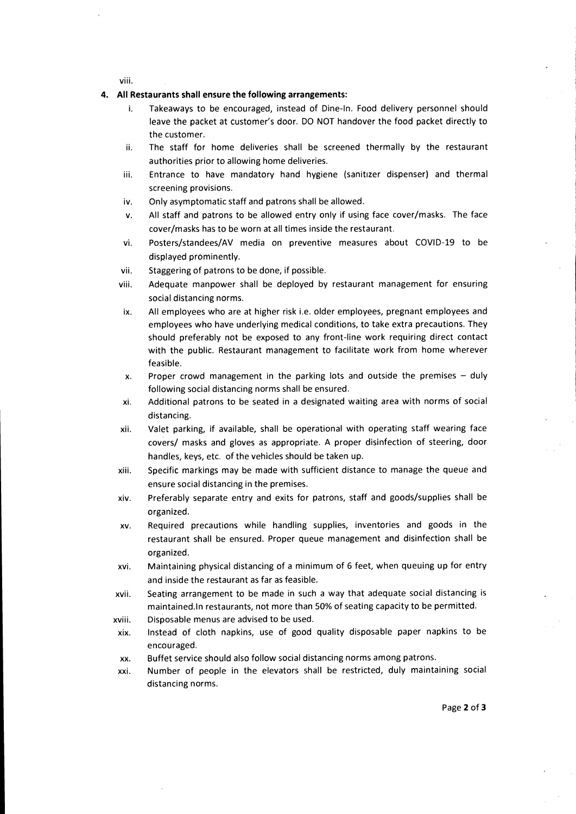**VIII.** 

## **4. All Restaurants shall ensure the following arrangements:**

- **i. Takeaways to be encouraged, instead of Dine-In. Food delivery personnel should leave the packet at customer's door. DO NOT handover the food packet directly to the customer.**
- **ii. The staff for home deliveries shall be screened thermally by the restaurant authorities prior to allowing home deliveries.**
- **iii. Entrance to have mandatory hand hygiene (sanitizer dispenser) and thermal screening provisions.**
- **iv. Only asymptomatic staff and patrons shall be allowed.**
- **v. All staff and patrons to be allowed entry only if using face cover/masks. The face cover/masks has to be worn at all times inside the restaurant.**
- **vi. Posters/standees/AV media on preventive measures about COVID-19 to be displayed prominently.**
- **vii. Staggering of patrons to be done, if possible.**
- **viii. Adequate manpower shall be deployed by restaurant management for ensuring social distancing norms.**
- **ix. All employees who are at higher risk i.e. older employees, pregnant employees and employees who have underlying medical conditions, to take extra precautions. They should preferably not be exposed to any front-line work requiring direct contact with the public. Restaurant management to facilitate work from home wherever feasible.**
- **x. Proper crowd management in the parking lots and outside the premises duly following social distancing norms shall be ensured.**
- **xi. Additional patrons to be seated in a designated waiting area with norms of social distancing.**
- **xii. Valet parking, if available, shall be operational with operating staff wearing face covers/ masks and gloves as appropriate. A proper disinfection of steering, door handles, keys, etc. of the vehicles should be taken up.**
- **xiii. Specific markings may be made with sufficient distance to manage the queue and ensure social distancing in the premises.**
- **xiv. Preferably separate entry and exits for patrons, staff and goods/supplies shall be organized.**
- **xv. Required precautions while handling supplies, inventories and goods in the restaurant shall be ensured. Proper queue management and disinfection shall be organized.**
- **xvi. Maintaining physical distancing of a minimum of 6 feet, when queuing up for entry and inside the restaurant as far as feasible.**
- **xvii. Seating arrangement to be made in such a way that adequate social distancing is maintained.ln restaurants, not more than 50% of seating capacity to be permitted.**
- **xviii. Disposable menus are advised to be used.**
- **xix. Instead of cloth napkins, use of good quality disposable paper napkins to be encouraged.**
- **xx. Buffet service should also follow social distancing norms among patrons.**
- **xxi. Number of people in the elevators shall be restricted, duly maintaining social distancing norms.**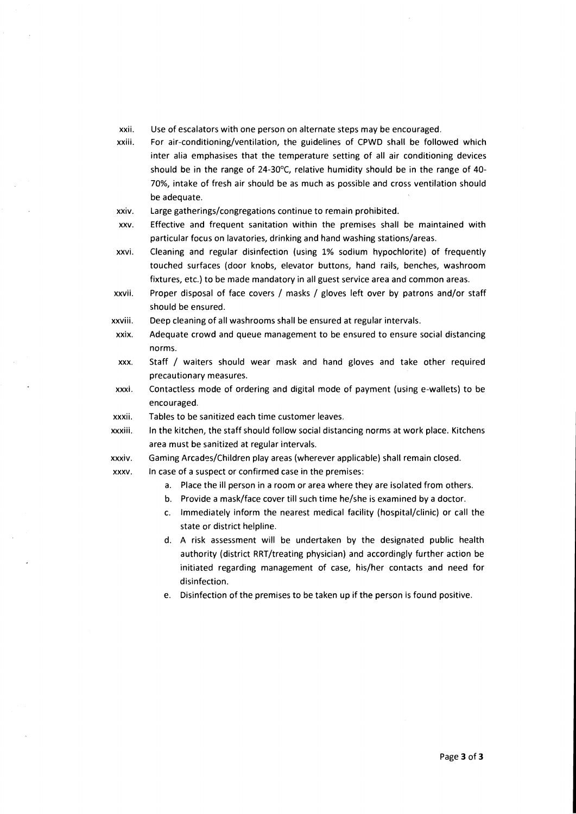- **xxii. Use of escalators with one person on alternate steps may be encouraged.**
- **xxiii. For air-conditioning/ventilation, the guidelines of CPWD shall be followed which inter alia emphasises that the temperature setting of all air conditioning devices should be in the range of 24-30°C, relative humidity should be in the range of 40- 70%, intake of fresh air should be as much as possible and cross ventilation should be adequate.**
- **xxiv. Large gatherings/congregations continue to remain prohibited.**
- **xxv. Effective and frequent sanitation within the premises shall be maintained with particular focus on lavatories, drinking and hand washing stations/areas.**
- **xxvi. Cleaning and regular disinfection (using 1% sodium hypochlorite) of frequently touched surfaces (door knobs, elevator buttons, hand rails, benches, washroom fixtures, etc.) to be made mandatory in all guest service area and common areas.**
- **xxvii. Proper disposal of face covers / masks / gloves left over by patrons and/or staff should be ensured.**
- **xxviii. Deep cleaning of all washrooms shall be ensured at regular intervals.**
- **xxix. Adequate crowd and queue management to be ensured to ensure social distancing norms.**
- **xxx. Staff / waiters should wear mask and hand gloves and take other required precautionary measures.**
- **xxxi. Contactless mode of ordering and digital mode of payment (using e-wallets) to be encouraged.**
- **xxxii. Tables to be sanitized each time customer leaves.**
- **xxxiii. In the kitchen, the staff should follow social distancing norms at work place. Kitchens area must be sanitized at regular intervals.**
- **xxxiv. Gaming Arcades/Children play areas (wherever applicable) shall remain closed.**
- **xxxv. In case of a suspect or confirmed case in the premises:** 
	- **a. Place the ill person in a room or area where they are isolated from others.**
	- **b. Provide a mask/face cover till such time he/she is examined by a doctor.**
	- **c. Immediately inform the nearest medical facility (hospital/clinic) or call the state or district helpline.**
	- **d. A risk assessment will be undertaken by the designated public health authority (district RRT/treating physician) and accordingly further action be initiated regarding management of case, his/her contacts and need for disinfection.**
	- **e. Disinfection of the premises to be taken up if the person is found positive.**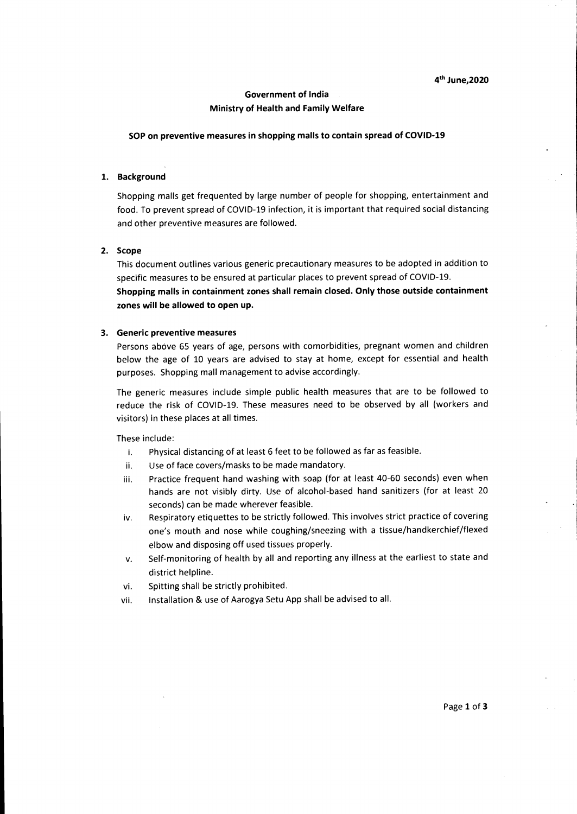# **Government of India Ministry of Health and Family Welfare**

#### **SOP on preventive measures in shopping malls to contain spread of COVID-19**

## **1. Background**

Shopping malls get frequented by large number of people for shopping, entertainment and food. To prevent spread of COVID-19 infection, it is important that required social distancing and other preventive measures are followed.

#### **2. Scope**

This document outlines various generic precautionary measures to be adopted in addition to specific measures to be ensured at particular places to prevent spread of COVID-19.

**Shopping malls in containment zones shall remain closed. Only those outside containment zones will be allowed to open up.** 

#### **3. Generic preventive measures**

Persons above 65 years of age, persons with comorbidities, pregnant women and children below the age of 10 years are advised to stay at home, except for essential and health purposes. Shopping mall management to advise accordingly.

The generic measures include simple public health measures that are to be followed to reduce the risk of COVID-19. These measures need to be observed by all (workers and visitors) in these places at all times.

These include:

- i. Physical distancing of at least 6 feet to be followed as far as feasible.
- ii. Use of face covers/masks to be made mandatory.
- iii. Practice frequent hand washing with soap (for at least 40-60 seconds) even when hands are not visibly dirty. Use of alcohol-based hand sanitizers (for at least 20 seconds) can be made wherever feasible.
- iv. Respiratory etiquettes to be strictly followed. This involves strict practice of covering one's mouth and nose while coughing/sneezing with a tissue/handkerchief/flexed elbow and disposing off used tissues properly.
- v. Self-monitoring of health by all and reporting any illness at the earliest to state and district helpline.
- vi. Spitting shall be strictly prohibited.
- vii. Installation & use of Aarogya Setu App shall be advised to all.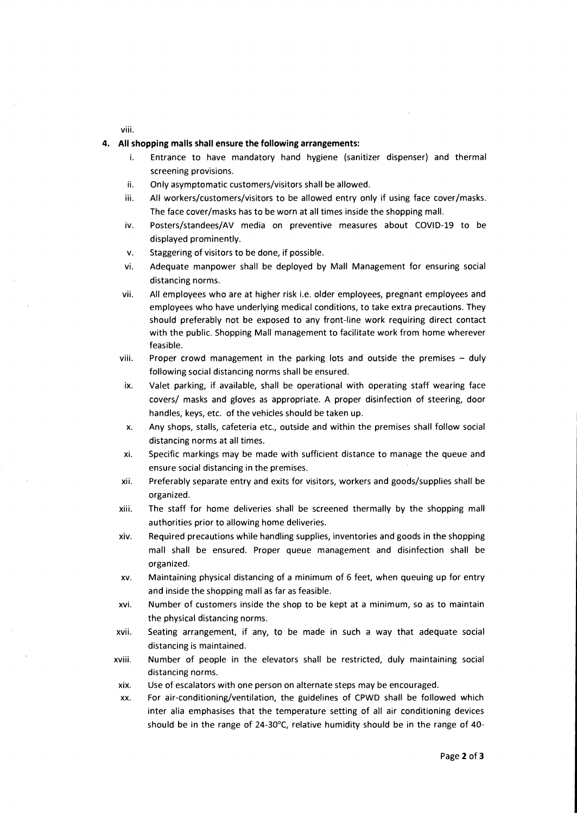viii.

# **4. All shopping malls shall ensure the following arrangements:**

- i. Entrance to have mandatory hand hygiene (sanitizer dispenser) and thermal screening provisions.
- ii. Only asymptomatic customers/visitors shall be allowed.
- iii. All workers/customers/visitors to be allowed entry only if using face cover/masks. The face cover/masks has to be worn at all times inside the shopping mall.
- iv. Posters/standees/AV media on preventive measures about COVID-19 to be displayed prominently.
- v. Staggering of visitors to be done, if possible.
- vi. Adequate manpower shall be deployed by Mall Management for ensuring social distancing norms.
- vii. All employees who are at higher risk i.e. older employees, pregnant employees and employees who have underlying medical conditions, to take extra precautions. They should preferably not be exposed to any front-line work requiring direct contact with the public. Shopping Mall management to facilitate work from home wherever feasible.
- viii. Proper crowd management in the parking lots and outside the premises duly following social distancing norms shall be ensured.
- ix. Valet parking, if available, shall be operational with operating staff wearing face covers/ masks and gloves as appropriate. A proper disinfection of steering, door handles, keys, etc. of the vehicles should be taken up.
- x. Any shops, stalls, cafeteria etc., outside and within the premises shall follow social distancing norms at all times.
- xi. Specific markings may be made with sufficient distance to manage the queue and ensure social distancing in the premises.
- xii. Preferably separate entry and exits for visitors, workers and goods/supplies shall be organized.
- xiii. The staff for home deliveries shall be screened thermally by the shopping mall authorities prior to allowing home deliveries.
- xiv. Required precautions while handling supplies, inventories and goods in the shopping mall shall be ensured. Proper queue management and disinfection shall be organized.
- xv. Maintaining physical distancing of a minimum of 6 feet, when queuing up for entry and inside the shopping mall as far as feasible.
- xvi. Number of customers inside the shop to be kept at a minimum, so as to maintain the physical distancing norms.
- xvii. Seating arrangement, if any, to be made in such a way that adequate social distancing is maintained.
- xviii. Number of people in the elevators shall be restricted, duly maintaining social distancing norms.
- xix. Use of escalators with one person on alternate steps may be encouraged.
- xx. For air-conditioning/ventilation, the guidelines of CPWD shall be followed which inter alia emphasises that the temperature setting of all air conditioning devices should be in the range of 24-30°C, relative humidity should be in the range of 40-

Page **2** of **3**